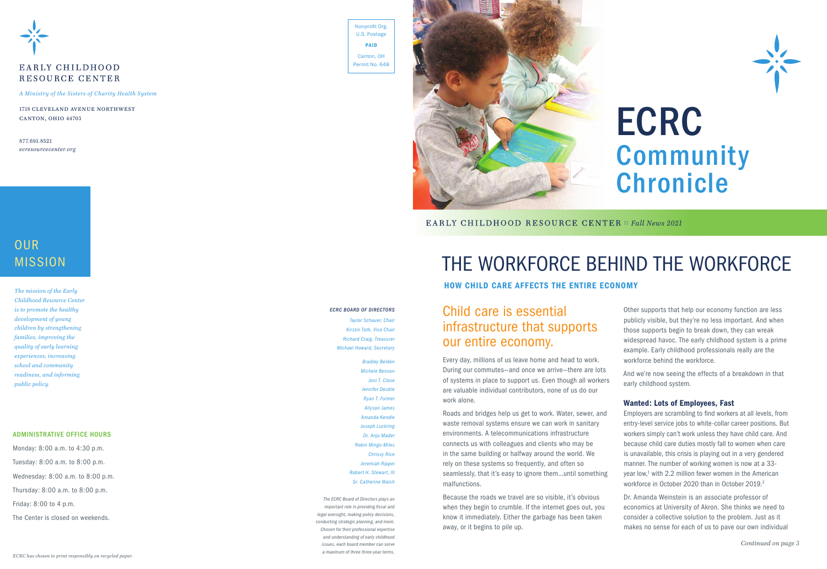

# EARLY CHILDHOOD RESOURCE CENTER

# Child care is essential infrastructure that supports our entire economy.

Every day, millions of us leave home and head to work. During our commutes—and once we arrive—there are lots of systems in place to support us. Even though all workers are valuable individual contributors, none of us do our work alone.

Roads and bridges help us get to work. Water, sewer, and waste removal systems ensure we can work in sanitary environments. A telecommunications infrastructure connects us with colleagues and clients who may be in the same building or halfway around the world. We rely on these systems so frequently, and often so seamlessly, that it's easy to ignore them…until something malfunctions.

Employers are scrambling to find workers at all levels, from entry-level service jobs to white-collar career positions. But workers simply can't work unless they have child care. And because child care duties mostly fall to women when care is unavailable, this crisis is playing out in a very gendered manner. The number of working women is now at a 33 year low,<sup>1</sup> with 2.2 million fewer women in the American workforce in October 2020 than in October 2019<sup>2</sup>

Because the roads we travel are so visible, it's obvious when they begin to crumble. If the internet goes out, you know it immediately. Either the garbage has been taken away, or it begins to pile up.



Other supports that help our economy function are less publicly visible, but they're no less important. And when those supports begin to break down, they can wreak widespread havoc. The early childhood system is a prime example. Early childhood professionals really are the workforce behind the workforce.

And we're now seeing the effects of a breakdown in that early childhood system.

### Wanted: Lots of Employees, Fast

Dr. Amanda Weinstein is an associate professor of economics at University of Akron. She thinks we need to consider a collective solution to the problem. Just as it makes no sense for each of us to pave our own individual

# OUR MISSION

*ECRC BOARD OF DIRECTORS*

*Taylor Schauer, Chair Kirstin Toth, Vice Chair Richard Craig, Treasurer Michael Howard, Secretary*

> *Bradley Belden Michele Benson Joni T. Close Jennifer Deuble Ryan T. Fulmer Allyson James Amanda Kendle Joseph Luckring Dr. Anju Mader Robin Mingo-Miles Chrissy Rice Jeremiah Rippel Robert H. Stewart, III Sr. Catherine Walsh*



*The ECRC Board of Directors plays an important role in providing fiscal and legal oversight, making policy decisions, conducting strategic planning, and more. Chosen for their professional expertise and understanding of early childhood issues, each board member can serve a maximum of three three-year terms.*

# ECRC Community Chronicle

EARLY CHILDHOOD RESOURCE CENTER :: Fall News 2021

# THE WORKFORCE BEHIND THE WORKFORCE

## HOW CHILD CARE AFFECTS THE ENTIRE ECONOMY

*A Ministry of the Sisters of Charity Health System*

1718 cleveland avenue northwest canton, ohio 44703

877.691.8521 *ecresourcecenter.org*

### ADMINISTRATIVE OFFICE HOURS

Monday: 8:00 a.m. to 4:30 p.m. Tuesday: 8:00 a.m. to 8:00 p.m. Wednesday: 8:00 a.m. to 8:00 p.m. Thursday: 8:00 a.m. to 8:00 p.m. Friday: 8:00 to 4 p.m.

The Center is closed on weekends.

*The mission of the Early Childhood Resource Center is to promote the healthy development of young children by strengthening families, improving the quality of early learning experiences, increasing school and community readiness, and informing public policy.*

Nonprofit Org. U.S. Postage PAID Canton, OH Permit No. 648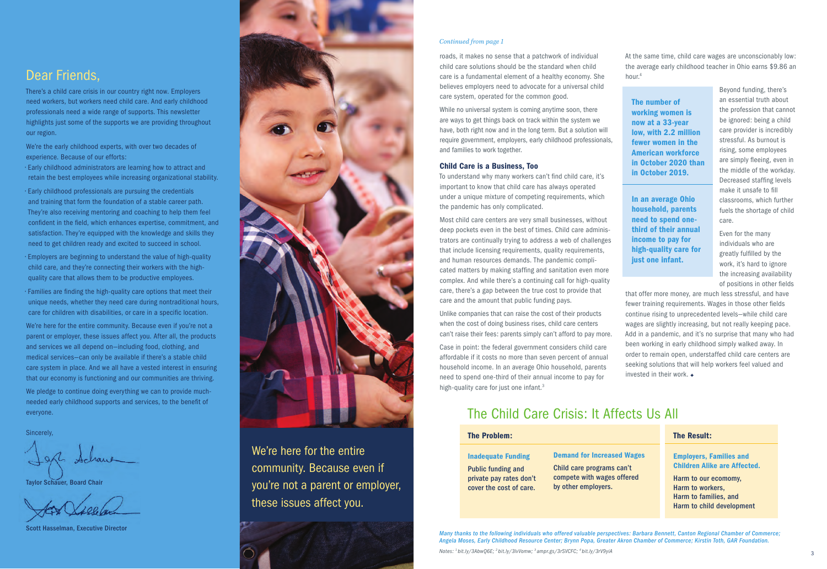roads, it makes no sense that a patchwork of individual child care solutions should be the standard when child care is a fundamental element of a healthy economy. She believes employers need to advocate for a universal child care system, operated for the common good.

While no universal system is coming anytime soon, there are ways to get things back on track within the system we have, both right now and in the long term. But a solution will require government, employers, early childhood professionals, and families to work together.

### Child Care is a Business, Too

To understand why many workers can't find child care, it's important to know that child care has always operated under a unique mixture of competing requirements, which the pandemic has only complicated.

Case in point: the federal government considers child care affordable if it costs no more than seven percent of annual household income. In an average Ohio household, parents need to spend one-third of their annual income to pay for high-quality care for just one infant.<sup>3</sup>

Most child care centers are very small businesses, without deep pockets even in the best of times. Child care administrators are continually trying to address a web of challenges that include licensing requirements, quality requirements, and human resources demands. The pandemic complicated matters by making staffing and sanitation even more complex. And while there's a continuing call for high-quality care, there's a gap between the true cost to provide that care and the amount that public funding pays.

that offer more money, are much less stressful, and have fewer training requirements. Wages in those other fields continue rising to unprecedented levels—while child care wages are slightly increasing, but not really keeping pace. Add in a pandemic, and it's no surprise that many who had been working in early childhood simply walked away. In order to remain open, understaffed child care centers are seeking solutions that will help workers feel valued and invested in their work.  $\rightarrow$ 

Unlike companies that can raise the cost of their products when the cost of doing business rises, child care centers can't raise their fees: parents simply can't afford to pay more. At the same time, child care wages are unconscionably low: the average early childhood teacher in Ohio earns \$9.86 an

hour.4

Beyond funding, there's an essential truth about the profession that cannot be ignored: being a child care provider is incredibly stressful. As burnout is rising, some employees are simply fleeing, even in the middle of the workday. Decreased staffing levels make it unsafe to fill classrooms, which further fuels the shortage of child care.

Even for the many individuals who are greatly fulfilled by the work, it's hard to ignore the increasing availability of positions in other fields

We're here for the entire community. Because even if you're not a parent or employer, these issues affect you. After all, the products and services we all depend on—including food, clothing, and medical services—can only be available if there's a stable child care system in place. And we all have a vested interest in ensuring that our economy is functioning and our communities are thriving. We pledge to continue doing everything we can to provide muchneeded early childhood supports and services, to the benefit of

> *Many thanks to the following individuals who offered valuable perspectives: Barbara Bennett, Canton Regional Chamber of Commerce; Angela Moses, Early Childhood Resource Center; Brynn Popa, Greater Akron Chamber of Commerce; Kirstin Toth, GAR Foundation.*

*Notes: 1 bit.ly/3AbwQ6E; 2 bit.ly/3lvVomw; 3 ampr.gs/3rSVCFC; 4 bit.ly/3rV9yiA* <sup>3</sup>

# The Child Care Crisis: It Affects Us All

We're here for the entire community. Because even if you're not a parent or employer, these issues affect you.



### The Problem:

Inadequate Funding Public funding and private pay rates don't cover the cost of care.

| <b>The Result:</b>                                                                             |
|------------------------------------------------------------------------------------------------|
| <b>Employers, Families and</b><br><b>Children Alike are Affected.</b>                          |
| Harm to our ecomomy,<br>Harm to workers,<br>Harm to families, and<br>Harm to child development |

Demand for Increased Wages Child care programs can't

compete with wages offered by other employers.

The number of working women is now at a 33-year low, with 2.2 million fewer women in the American workforce in October 2020 than in October 2019.

In an average Ohio household, parents need to spend onethird of their annual income to pay for high-quality care for just one infant.

### *Continued from page 1*

# Dear Friends,

There's a child care crisis in our country right now. Employers need workers, but workers need child care. And early childhood professionals need a wide range of supports. This newsletter highlights just some of the supports we are providing throughout our region.

We're the early childhood experts, with over two decades of experience. Because of our efforts:

- Early childhood administrators are learning how to attract and retain the best employees while increasing organizational stability.
- Early childhood professionals are pursuing the credentials and training that form the foundation of a stable career path. They're also receiving mentoring and coaching to help them feel confident in the field, which enhances expertise, commitment, and satisfaction. They're equipped with the knowledge and skills they need to get children ready and excited to succeed in school.
- Employers are beginning to understand the value of high-quality child care, and they're connecting their workers with the highquality care that allows them to be productive employees.
- Families are finding the high-quality care options that meet their unique needs, whether they need care during nontraditional hours, care for children with disabilities, or care in a specific location.

everyone.

Sincerely,

Taylor Schauer, Board Chair

Scott Hasselman, Executive Director

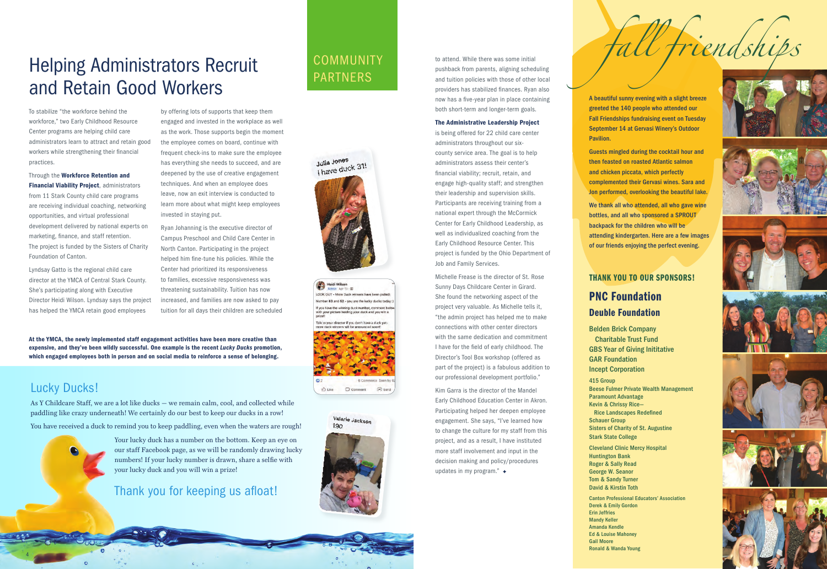To stabilize "the workforce behind the workforce," two Early Childhood Resource Center programs are helping child care administrators learn to attract and retain good workers while strengthening their financial practices.

Through the Workforce Retention and **Financial Viability Project, administrators** from 11 Stark County child care programs are receiving individual coaching, networking opportunities, and virtual professional development delivered by national experts on marketing, finance, and staff retention. The project is funded by the Sisters of Charity Foundation of Canton.

Lyndsay Gatto is the regional child care director at the YMCA of Central Stark County. She's participating along with Executive Director Heidi Wilson. Lyndsay says the project has helped the YMCA retain good employees

by offering lots of supports that keep them engaged and invested in the workplace as well as the work. Those supports begin the moment the employee comes on board, continue with frequent check-ins to make sure the employee has everything she needs to succeed, and are deepened by the use of creative engagement techniques. And when an employee does leave, now an exit interview is conducted to learn more about what might keep employees invested in staying put.

# **Helping Administrators Recruit** EQUAL PARTNERS and Retain Good Workers

Ryan Johanning is the executive director of Campus Preschool and Child Care Center in North Canton. Participating in the project helped him fine-tune his policies. While the Center had prioritized its responsiveness to families, excessive responsiveness was threatening sustainability. Tuition has now increased, and families are now asked to pay tuition for all days their children are scheduled

At the YMCA, the newly implemented staff engagement activities have been more creative than expensive, and they've been wildly successful. One example is the recent *Lucky Ducks* promotion, which engaged employees both in person and on social media to reinforce a sense of belonging.

> Kim Garra is the director of the Mandel Early Childhood Education Center in Akron. Participating helped her deepen employee engagement. She says, "I've learned how to change the culture for my staff from this project, and as a result, I have instituted more staff involvement and input in the decision making and policy/procedures updates in my program."  $\rightarrow$

# Lucky Ducks!

As Y Childcare Staff, we are a lot like ducks — we remain calm, cool, and collected while paddling like crazy underneath! We certainly do our best to keep our ducks in a row!

You have received a duck to remind you to keep paddling, even when the waters are rough!



Your lucky duck has a number on the bottom. Keep an eye on our staff Facebook page, as we will be randomly drawing lucky numbers! If your lucky number is drawn, share a selfie with your lucky duck and you will win a prize!

# Thank you for keeping us afloat!

4











to attend. While there was some initial pushback from parents, aligning scheduling and tuition policies with those of other local providers has stabilized finances. Ryan also now has a five-year plan in place containing both short-term and longer-term goals.

### The Administrative Leadership Project

is being offered for 22 child care center administrators throughout our sixcounty service area. The goal is to help administrators assess their center's financial viability; recruit, retain, and engage high-quality staff; and strengthen their leadership and supervision skills. Participants are receiving training from a national expert through the McCormick Center for Early Childhood Leadership, as well as individualized coaching from the Early Childhood Resource Center. This project is funded by the Ohio Department of Job and Family Services.

Michelle Frease is the director of St. Rose Sunny Days Childcare Center in Girard. She found the networking aspect of the project very valuable. As Michelle tells it, "the admin project has helped me to make connections with other center directors with the same dedication and commitment I have for the field of early childhood. The Director's Tool Box workshop (offered as part of the project) is a fabulous addition to our professional development portfolio."

A beautiful sunny evening with a slight breeze greeted the 140 people who attended our Fall Friendships fundraising event on Tuesday September 14 at Gervasi Winery's Outdoor Pavilion.

Guests mingled during the cocktail hour and then feasted on roasted Atlantic salmon and chicken piccata, which perfectly complemented their Gervasi wines. Sara and Jon performed, overlooking the beautiful lake.

We thank all who attended, all who gave wine bottles, and all who sponsored a SPROUT backpack for the children who will be attending kindergarten. Here are a few images of our friends enjoying the perfect evening.

# THANK YOU TO OUR SPONSORS!

# PNC Foundation Deuble Foundation

Belden Brick Company Charitable Trust Fund GBS Year of Giving Inititative GAR Foundation Incept Corporation

415 Group Beese Fulmer Private Wealth Management Paramount Advantage Kevin & Chrissy Rice— Rice Landscapes Redefined Schauer Group Sisters of Charity of St. Augustine Stark State College

Cleveland Clinic Mercy Hospital Huntington Bank Roger & Sally Read George W. Seanor Tom & Sandy Turner David & Kirstin Toth

Canton Professional Educators' Association Derek & Emily Gordon Erin Jeffries Mandy Keller Amanda Kendle Ed & Louise Mahoney Gail Moore Ronald & Wanda Young

 *fall friendships*